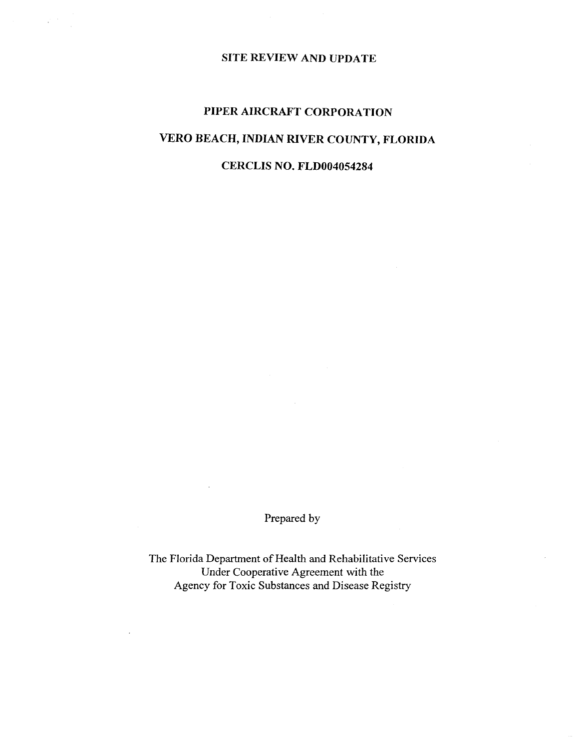# **SITE REVIEW AND UPDATE**

 $\mathbb{R}^3$ 

# **PIPER AIRCRAFT CORPORATION VERO BEACH, INDIAN RIVER COUNTY, FLORIDA**

# **CERCLIS NO. FLD0040S4284**

Prepared by

The Florida Department of Health and Rehabilitative Services Under Cooperative Agreement with the Agency for Toxic Substances and Disease Registry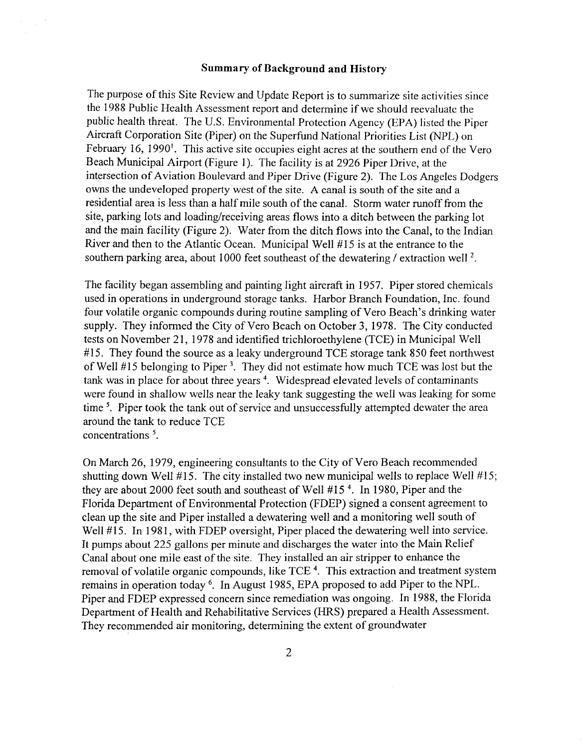#### Summary of Background and History

The purpose of this Site Review and Update Report is to summarize site activities since the 1988 Public Health Assessment report and determine if we should reevaluate the public health threat. The U.S. Environmental Protection Agency (EPA) listed the Piper Aircraft Corporation Site (Piper) on the Superfund National Priorities List (NPL) on February 16, 1990<sup>1</sup>. This active site occupies eight acres at the southern end of the Vero Beach Municipal Airport (Figure 1). The facility is at 2926 Piper Drive, at the intersection of Aviation Boulevard and Piper Drive (Figure 2). The Los Angeles Dodgers owns the undeveloped property west of the site. A canal is south of the site and a residential area is less than a half mile south of the canal. Storm water runoff from the site, parking lots and loading/receiving areas flows into a ditch between the parking lot and the main facility (Figure 2). Water from the ditch flows into the Canal, to the Indian River and then to the Atlantic Ocean. Municipal Well #15 is at the entrance to the southern parking area, about 1000 feet southeast of the dewatering / extraction well<sup>2</sup>.

The facility began assembling and painting light aircraft in 1957. Piper stored chemicals used in operations in underground storage tanks. Harbor Branch Foundation, Inc. found four volatile organic compounds during routine sampling of Vero Beach's drinking water supply. They informed the City of Vero Beach on October 3, 1978. The City conducted tests on November 21, 1978 and identified trichloroethylene (TCE) in Municipal Well  $#15$ . They found the source as a leaky underground TCE storage tank 850 feet northwest of Well #15 belonging to Piper 3. They did not estimate how much TCE was lost but the tank was in place for about three years 4. Widespread elevated levels of contaminants were found in shallow wells near the leaky tank suggesting the well was leaking for some time<sup>5</sup>. Piper took the tank out of service and unsuccessfully attempted dewater the area around the tank to reduce TCE concentrations<sup>5</sup>.

On March 26, 1979, engineering consultants to the City of Vero Beach recommended shutting down Well #15. The city installed two new municipal wells to replace Well #15; they are about 2000 feet south and southeast of Well #15 4. In 1980, Piper and the Florida Department of Environmental Protection (FDEP) signed a consent agreement to clean up the site and Piper installed a dewatering well and a monitoring well south of Well #15. In 1981, with FDEP oversight, Piper placed the dewatering well into service. It pumps about 225 gallons per minute and discharges the water into the Main Relief Canal about one mile east of the site. They installed an air stripper to enhance the removal of volatile organic compounds, like TCE<sup>4</sup>. This extraction and treatment system remains in operation today 6. In August 1985, EPA proposed to add Piper to the NPL. Piper and FDEP expressed concern since remediation was ongoing. In 1988, the Florida Department of Health and Rehabilitative Services (HRS) prepared a Health Assessment. They recommended air monitoring, determining the extent of groundwater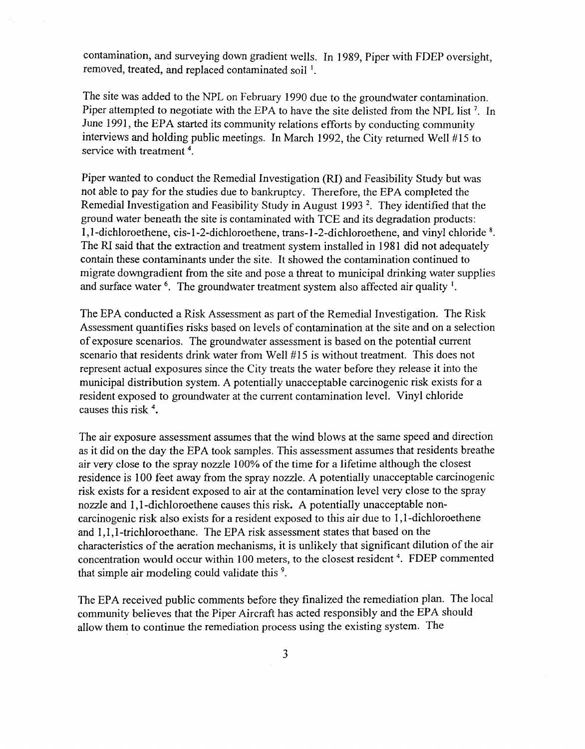contamination, and surveying down gradient wells. In 1989, Piper with FDEP oversight, removed, treated, and replaced contaminated soil<sup>1</sup>.

The site was added to the NPL on February 1990 due to the groundwater contamination. Piper attempted to negotiate with the EPA to have the site delisted from the NPL list<sup>7</sup>. In June 1991, the EPA started its community relations efforts by conducting community interviews and holding public meetings. In March 1992, the City returned Well #15 to service with treatment 4.

Piper wanted to conduct the Remedial Investigation (RI) and Feasibility Study but was not able to pay for the studies due to bankruptcy. Therefore, the EPA completed the Remedial Investigation and Feasibility Study in August 1993<sup>2</sup>. They identified that the ground water beneath the site is contaminated with TCE and its degradation products: 1,I-dichloroethene, cis-I-2-dichloroethene, trans-I-2-dichloroethene, and vinyl chloride 8. The RI said that the extraction and treatment system installed in 1981 did not adequately contain these contaminants under the site. It showed the contamination continued to migrate downgradient from the site and pose a threat to municipal drinking water supplies and surface water  $6$ . The groundwater treatment system also affected air quality  $1$ .

The EPA conducted a Risk Assessment as part of the Remedial Investigation. The Risk Assessment quantifies risks based on levels of contamination at the site and on a selection of exposure scenarios. The groundwater assessment is based on the potential current scenario that residents drink water from Well #15 is without treatment. This does not represent actual exposures since the City treats the water before they release it into the municipal distribution system. A potentially unacceptable carcinogenic risk exists for a resident exposed to groundwater at the current contamination level. Vinyl chloride causes this risk 4.

The air exposure assessment assumes that the wind blows at the same speed and direction as it did on the day the EPA took samples. This assessment assumes that residents breathe air very close to the spray nozzle 100% of the time for a lifetime although the closest residence is 100 feet away from the spray nozzle. A potentially unacceptable carcinogenic risk exists for a resident exposed to air at the contamination level very close to the spray nozzle and 1, I-dichloroethene causes this risk. A potentially unacceptable noncarcinogenic risk also exists for a resident exposed to this air due to 1, I-dichloroethene and 1,1,1-trichloroethane. The EPA risk assessment states that based on the characteristics of the aeration mechanisms, it is unlikely that significant dilution of the air concentration would occur within 100 meters, to the closest resident 4. FDEP commented that simple air modeling could validate this 9.

The EPA received public comments before they finalized the remediation plan. The local community believes that the Piper Aircraft has acted responsibly and the EPA should allow them to continue the remediation process using the existing system. The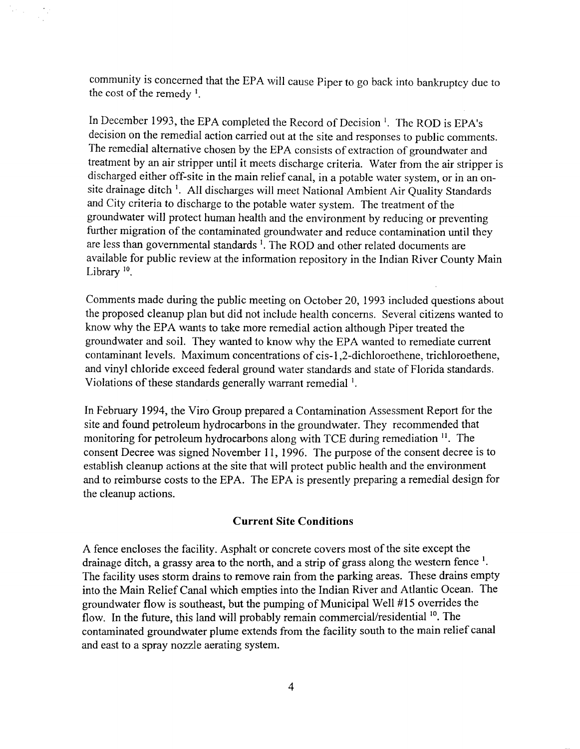community is concerned that the EPA will cause Piper to go back into bankruptcy due to the cost of the remedy  $1$ .

 $\sim$  .

In December 1993, the EPA completed the Record of Decision<sup>1</sup>. The ROD is EPA's decision on the remedial action carried out at the site and responses to public comments. The remedial alternative chosen by the EPA consists of extraction of groundwater and treatment by an air stripper until it meets discharge criteria. Water from the air stripper is discharged either off-site in the main relief canal, in a potable water system, or in an onsite drainage ditch<sup>1</sup>. All discharges will meet National Ambient Air Quality Standards and City criteria to discharge to the potable water system. The treatment of the groundwater will protect human health and the environment by reducing or preventing further migration of the contaminated groundwater and reduce contamination until they are less than governmental standards  $\frac{1}{2}$ . The ROD and other related documents are available for public review at the information repository in the Indian River County Main Library<sup>10</sup>.

Comments made during the public meeting on October 20, 1993 included questions about the proposed cleanup plan but did not include health concerns. Several citizens wanted to know why the EPA wants to take more remedial action although Piper treated the groundwater and soil. They wanted to know why the EPA wanted to remediate current contaminant levels. Maximum concentrations of cis-l ,2-dichloroethene, trichloroethene, and vinyl chloride exceed federal ground water standards and state of Florida standards. Violations of these standards generally warrant remedial<sup>1</sup>.

In February 1994, the Viro Group prepared a Contamination Assessment Report for the site and found petroleum hydrocarbons in the groundwater. They recommended that monitoring for petroleum hydrocarbons along with TCE during remediation  $\frac{11}{1}$ . The consent Decree was signed November 11, 1996. The purpose of the consent decree is to establish cleanup actions at the site that will protect public health and the environment and to reimburse costs to the EPA. The EPA is presently preparing a remedial design for the cleanup actions.

#### **Current Site Conditions**

A fence encloses the facility. Asphalt or concrete covers most of the site except the drainage ditch, a grassy area to the north, and a strip of grass along the western fence  $<sup>1</sup>$ .</sup> The facility uses storm drains to remove rain from the parking areas. These drains empty into the Main Relief Canal which empties into the Indian River and Atlantic Ocean. The groundwater flow is southeast, but the pumping of Municipal Well #15 overrides the flow. In the future, this land will probably remain commercial/residential <sup>10</sup>. The contaminated groundwater plume extends from the facility south to the main relief canal and east to a spray nozzle aerating system.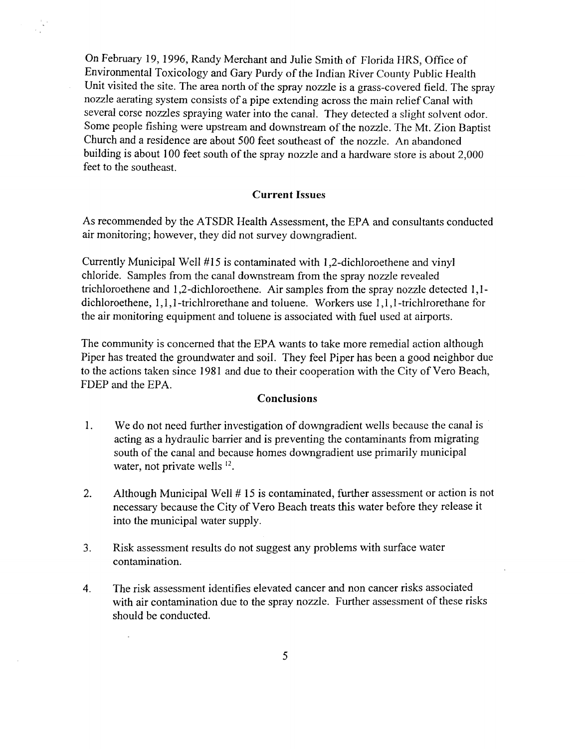On February 19, 1996, Randy Merchant and Julie Smith of Florida HRS, Office of Environmental Toxicology and Gary Purdy of the Indian River County Public Health Unit visited the site. The area north of the spray nozzle is a grass-covered field. The spray nozzle aerating system consists of a pipe extending across the main relief Canal with several corse nozzles spraying water into the canal. They detected a slight solvent odor. Some people fishing were upstream and downstream of the nozzle. The Mt. Zion Baptist Church and a residence are about 500 feet southeast of the nozzle. An abandoned building is about 100 feet south of the spray nozzle and a hardware store is about 2,000 feet to the southeast.

#### **Current Issues**

As recommended by the ATSDR Health Assessment, the EPA and consultants conducted air monitoring; however, they did not survey downgradient.

Currently Municipal Well #15 is contaminated with 1,2-dichloroethene and vinyl chloride. Samples from the canal downstream from the spray nozzle revealed trichloroethene and 1,2-dichloroethene. Air samples from the spray nozzle detected 1,1 dichloroethene, 1,1, I-trichlrorethane and toluene. Workers use 1,1, I-trichlrorethane for the air monitoring equipment and toluene is associated with fuel used at airports.

The community is concerned that the EPA wants to take more remedial action although Piper has treated the groundwater and soil. They feel Piper has been a good neighbor due to the actions taken since 1981 and due to their cooperation with the City of Vero Beach, FDEP and the EPA.

## **Conclusions**

- 1. We do not need further investigation of downgradient wells because the canal is acting as a hydraulic barrier and is preventing the contaminants from migrating south of the canal and because homes downgradient use primarily municipal water, not private wells <sup>12</sup>.
- 2. Although Municipal Well # 15 is contaminated, further assessment or action is not necessary because the City of Vero Beach treats this water before they release it into the municipal water supply.
- 3. Risk assessment results do not suggest any problems with surface water contamination.
- 4. The risk assessment identifies elevated cancer and non cancer risks associated with air contamination due to the spray nozzle. Further assessment of these risks should be conducted.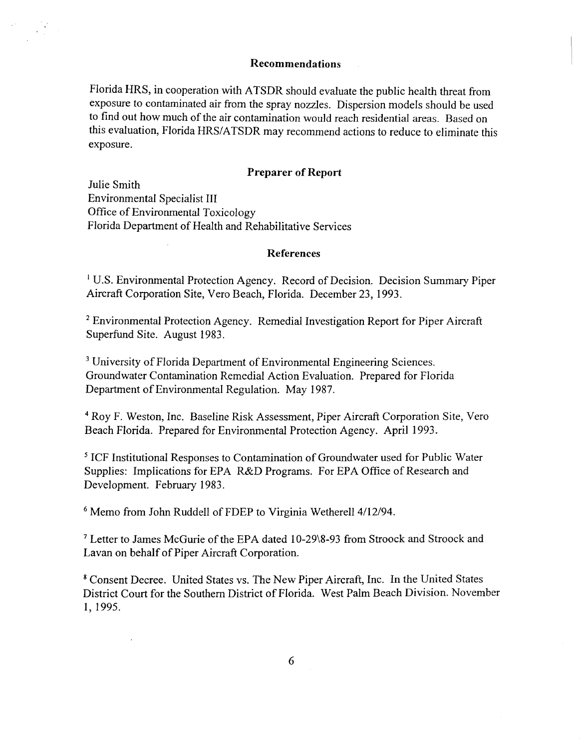#### Recommendations

Florida HRS, in cooperation with ATSDR should evaluate the public health threat from exposure to contaminated air from the spray nozzles. Dispersion models should be used to find out how much of the air contamination would reach residential areas. Based on this evaluation, Florida HRS/ATSDR may recommend actions to reduce to eliminate this exposure.

## Preparer of Report

Julie Smith Environmental Specialist III Office of Environmental Toxicology Florida Department of Health and Rehabilitative Services

#### References

<sup>1</sup> U.S. Environmental Protection Agency. Record of Decision. Decision Summary Piper Aircraft Corporation Site, Vero Beach, Florida. December 23, 1993.

<sup>2</sup>Environmental Protection Agency. Remedial Investigation Report for Piper Aircraft Superfund Site. August 1983.

<sup>3</sup> University of Florida Department of Environmental Engineering Sciences. Groundwater Contamination Remedial Action Evaluation. Prepared for Florida Department of Environmental Regulation. May 1987.

4 Roy F. Weston, Inc. Baseline Risk Assessment, Piper Aircraft Corporation Site, Vero Beach Florida. Prepared for Environmental Protection Agency. April 1993.

5 ICF Institutional Responses to Contamination of Groundwater used for Public Water Supplies: Implications for EPA R&D Programs. For EPA Office of Research and Development. February 1983.

<sup>6</sup> Memo from John Ruddell of FDEP to Virginia Wetherell 4/12/94.

7 Letter to James McGurie of the EPA dated 10-29\8-93 from Stroock and Stroock and Lavan on behalf of Piper Aircraft Corporation.

<sup>8</sup>Consent Decree. United States vs. The New Piper Aircraft, Inc. In the United States District Court for the Southern District of Florida. West Palm Beach Division. November 1,1995.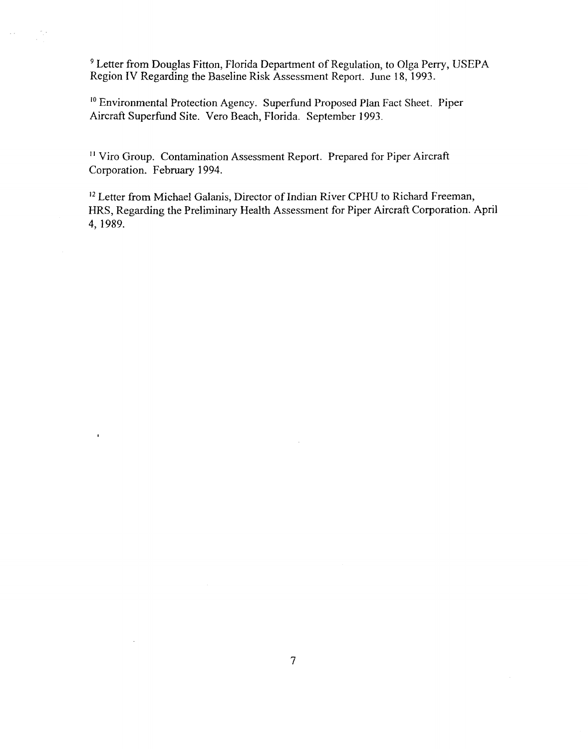<sup>9</sup> Letter from Douglas Fitton, Florida Department of Regulation, to Olga Perry, USEPA Region IV Regarding the Baseline Risk Assessment Report. June 18, 1993.

10 Environmental Protection Agency. Superfund Proposed Plan Fact Sheet. Piper Aircraft Superfund Site. Vero Beach, Florida. September 1993.

<sup>11</sup> Viro Group. Contamination Assessment Report. Prepared for Piper Aircraft Corporation. February 1994.

 $\mathbf{I}$ 

<sup>12</sup> Letter from Michael Galanis, Director of Indian River CPHU to Richard Freeman, HRS, Regarding the Preliminary Health Assessment for Piper Aircraft Corporation. April 4, 1989.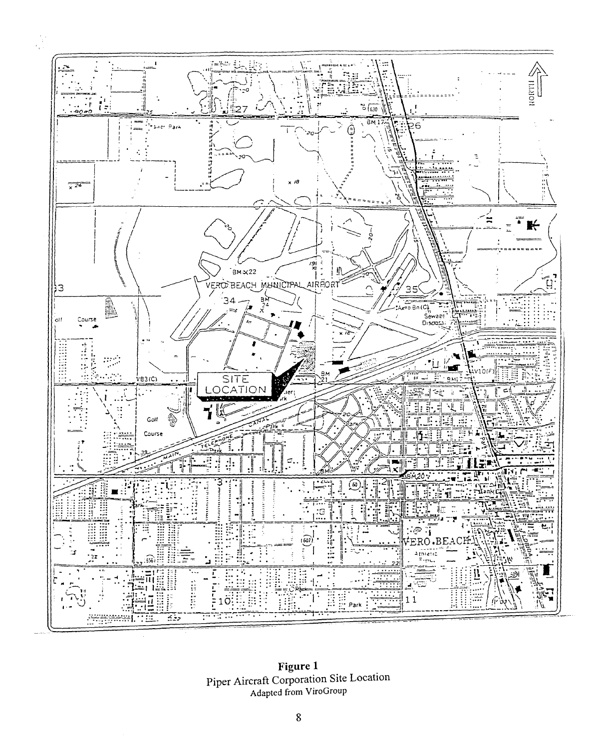

Figure 1 Piper Aircraft Corporation Site Location Adapted from ViroGroup